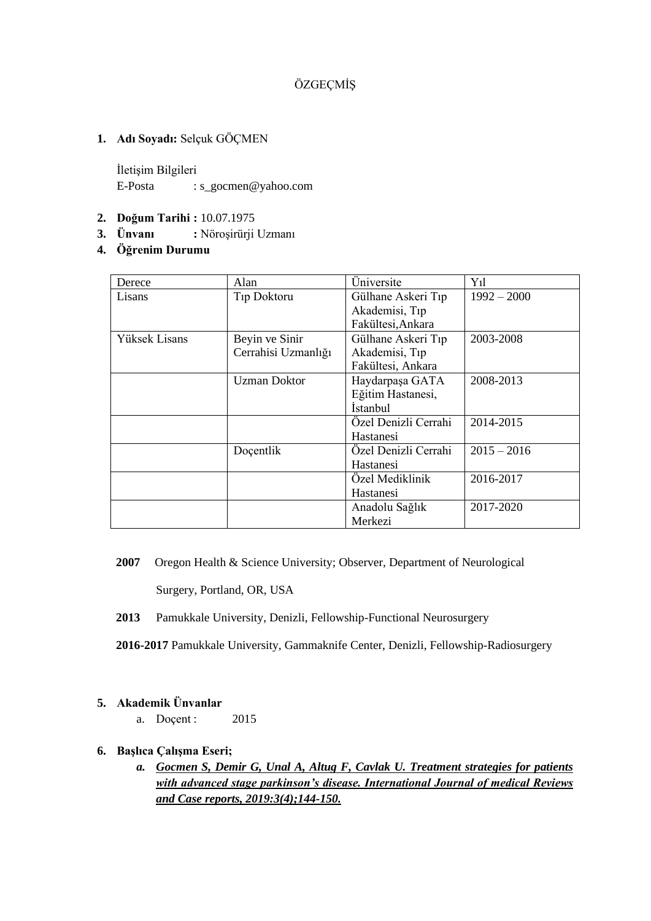## ÖZGEÇMİŞ

**1. Adı Soyadı:** Selçuk GÖÇMEN

İletişim Bilgileri E-Posta : s\_gocmen@yahoo.com

- **2. Doğum Tarihi :** 10.07.1975
- **3. Ünvanı :** Nöroşirürji Uzmanı
- **4. Öğrenim Durumu**

| Derece        | Alan                     | Üniversite           | Yıl           |
|---------------|--------------------------|----------------------|---------------|
| Lisans        | T <sub>1</sub> p Doktoru | Gülhane Askeri Tıp   | $1992 - 2000$ |
|               |                          | Akademisi, Tip       |               |
|               |                          | Fakültesi, Ankara    |               |
| Yüksek Lisans | Beyin ve Sinir           | Gülhane Askeri Tıp   | 2003-2008     |
|               | Cerrahisi Uzmanlığı      | Akademisi, Tip       |               |
|               |                          | Fakültesi, Ankara    |               |
|               | <b>Uzman Doktor</b>      | Haydarpaşa GATA      | 2008-2013     |
|               |                          | Eğitim Hastanesi,    |               |
|               |                          | İstanbul             |               |
|               |                          | Özel Denizli Cerrahi | 2014-2015     |
|               |                          | Hastanesi            |               |
|               | Doçentlik                | Ozel Denizli Cerrahi | $2015 - 2016$ |
|               |                          | Hastanesi            |               |
|               |                          | Özel Mediklinik      | 2016-2017     |
|               |                          | Hastanesi            |               |
|               |                          | Anadolu Sağlık       | 2017-2020     |
|               |                          | Merkezi              |               |

- **2007** Oregon Health & Science University; Observer, Department of Neurological Surgery, Portland, OR, USA
- **2013** Pamukkale University, Denizli, Fellowship-Functional Neurosurgery

**2016-2017** Pamukkale University, Gammaknife Center, Denizli, Fellowship-Radiosurgery

- **5. Akademik Ünvanlar**
	- a. Doçent: 2015
- **6. Başlıca Çalışma Eseri;** 
	- *a. Gocmen S, Demir G, Unal A, Altug F, Cavlak U. Treatment strategies for patients with advanced stage parkinson's disease. International Journal of medical Reviews and Case reports, 2019:3(4);144-150.*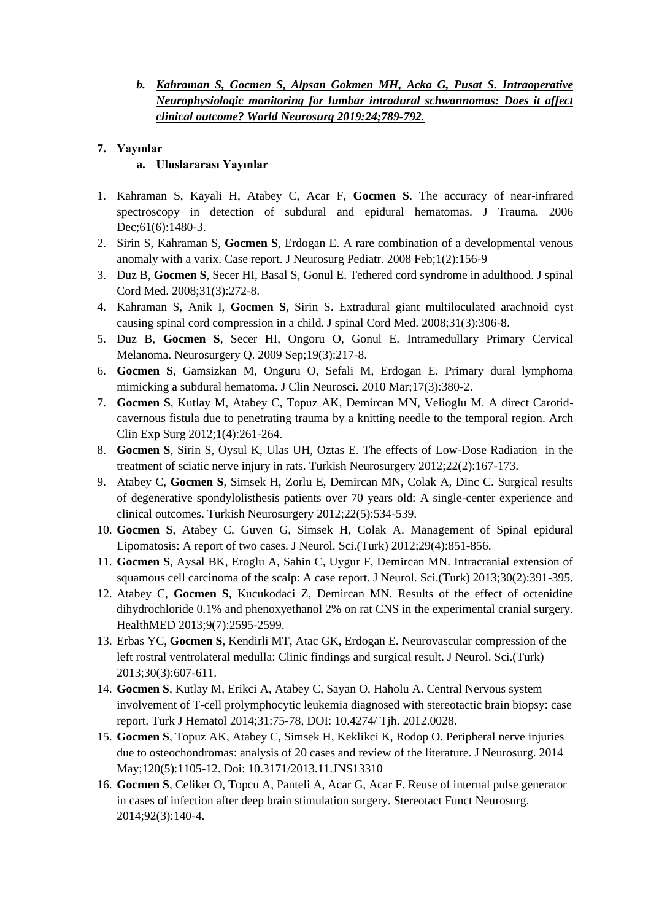*b. Kahraman S, Gocmen S, Alpsan Gokmen MH, Acka G, Pusat S. Intraoperative Neurophysiologic monitoring for lumbar intradural schwannomas: Does it affect clinical outcome? World Neurosurg 2019:24;789-792.*

## **7. Yayınlar**

## **a. Uluslararası Yayınlar**

- 1. Kahraman S, Kayali H, Atabey C, Acar F, **Gocmen S**. The accuracy of near-infrared spectroscopy in detection of subdural and epidural hematomas. J Trauma. 2006 Dec; 61(6): 1480-3.
- 2. Sirin S, Kahraman S, **Gocmen S**, Erdogan E. A rare combination of a developmental venous anomaly with a varix. Case report. J Neurosurg Pediatr. 2008 Feb;1(2):156-9
- 3. Duz B, **Gocmen S**, Secer HI, Basal S, Gonul E. Tethered cord syndrome in adulthood. J spinal Cord Med. 2008;31(3):272-8.
- 4. Kahraman S, Anik I, **Gocmen S**, Sirin S. Extradural giant multiloculated arachnoid cyst causing spinal cord compression in a child. J spinal Cord Med. 2008;31(3):306-8.
- 5. Duz B, **Gocmen S**, Secer HI, Ongoru O, Gonul E. Intramedullary Primary Cervical Melanoma. Neurosurgery Q. 2009 Sep;19(3):217-8.
- 6. **Gocmen S**, Gamsizkan M, Onguru O, Sefali M, Erdogan E. Primary dural lymphoma mimicking a subdural hematoma. J Clin Neurosci. 2010 Mar;17(3):380-2.
- 7. **Gocmen S**, Kutlay M, Atabey C, Topuz AK, Demircan MN, Velioglu M. A direct Carotidcavernous fistula due to penetrating trauma by a knitting needle to the temporal region. Arch Clin Exp Surg 2012;1(4):261-264.
- 8. **Gocmen S**, Sirin S, Oysul K, Ulas UH, Oztas E. The effects of Low-Dose Radiation in the treatment of sciatic nerve injury in rats. Turkish Neurosurgery 2012;22(2):167-173.
- 9. Atabey C, **Gocmen S**, Simsek H, Zorlu E, Demircan MN, Colak A, Dinc C. Surgical results of degenerative spondylolisthesis patients over 70 years old: A single-center experience and clinical outcomes. Turkish Neurosurgery 2012;22(5):534-539.
- 10. **Gocmen S**, Atabey C, Guven G, Simsek H, Colak A. Management of Spinal epidural Lipomatosis: A report of two cases. J Neurol. Sci.(Turk) 2012;29(4):851-856.
- 11. **Gocmen S**, Aysal BK, Eroglu A, Sahin C, Uygur F, Demircan MN. Intracranial extension of squamous cell carcinoma of the scalp: A case report. J Neurol. Sci.(Turk) 2013;30(2):391-395.
- 12. Atabey C, **Gocmen S**, Kucukodaci Z, Demircan MN. Results of the effect of octenidine dihydrochloride 0.1% and phenoxyethanol 2% on rat CNS in the experimental cranial surgery. HealthMED 2013;9(7):2595-2599.
- 13. Erbas YC, **Gocmen S**, Kendirli MT, Atac GK, Erdogan E. Neurovascular compression of the left rostral ventrolateral medulla: Clinic findings and surgical result. J Neurol. Sci.(Turk) 2013;30(3):607-611.
- 14. **Gocmen S**, Kutlay M, Erikci A, Atabey C, Sayan O, Haholu A. Central Nervous system involvement of T-cell prolymphocytic leukemia diagnosed with stereotactic brain biopsy: case report. Turk J Hematol 2014;31:75-78, DOI: 10.4274/ Tjh. 2012.0028.
- 15. **Gocmen S**, Topuz AK, Atabey C, Simsek H, Keklikci K, Rodop O. Peripheral nerve injuries due to osteochondromas: analysis of 20 cases and review of the literature. J Neurosurg. 2014 May;120(5):1105-12. Doi: 10.3171/2013.11.JNS13310
- 16. **Gocmen S**, Celiker O, Topcu A, Panteli A, Acar G, Acar F. Reuse of internal pulse generator in cases of infection after deep brain stimulation surgery. Stereotact Funct Neurosurg. 2014;92(3):140-4.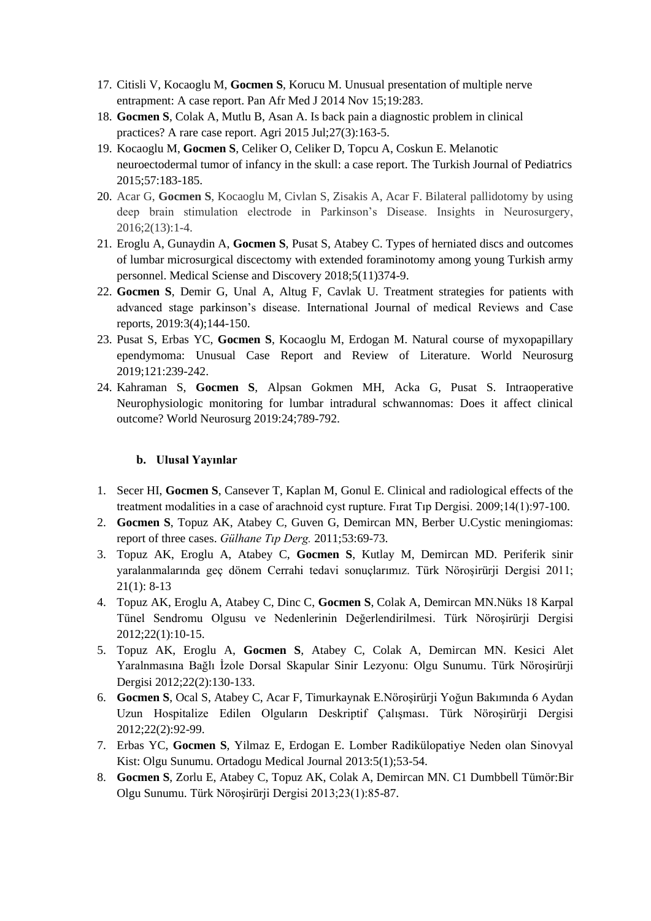- 17. Citisli V, Kocaoglu M, **Gocmen S**, Korucu M. Unusual presentation of multiple nerve entrapment: A case report. Pan Afr Med J 2014 Nov 15;19:283.
- 18. **Gocmen S**, Colak A, Mutlu B, Asan A. Is back pain a diagnostic problem in clinical practices? A rare case report. Agri 2015 Jul;27(3):163-5.
- 19. Kocaoglu M, **Gocmen S**, Celiker O, Celiker D, Topcu A, Coskun E. Melanotic neuroectodermal tumor of infancy in the skull: a case report. The Turkish Journal of Pediatrics 2015;57:183-185.
- 20. Acar G, **Gocmen S**, Kocaoglu M, Civlan S, Zisakis A, Acar F. Bilateral pallidotomy by using deep brain stimulation electrode in Parkinson's Disease. Insights in Neurosurgery, 2016;2(13):1-4.
- 21. Eroglu A, Gunaydin A, **Gocmen S**, Pusat S, Atabey C. Types of herniated discs and outcomes of lumbar microsurgical discectomy with extended foraminotomy among young Turkish army personnel. Medical Sciense and Discovery 2018;5(11)374-9.
- 22. **Gocmen S**, Demir G, Unal A, Altug F, Cavlak U. Treatment strategies for patients with advanced stage parkinson's disease. International Journal of medical Reviews and Case reports, 2019:3(4);144-150.
- 23. Pusat S, Erbas YC, **Gocmen S**, Kocaoglu M, Erdogan M. Natural course of myxopapillary ependymoma: Unusual Case Report and Review of Literature. World Neurosurg 2019;121:239-242.
- 24. Kahraman S, **Gocmen S**, Alpsan Gokmen MH, Acka G, Pusat S. Intraoperative Neurophysiologic monitoring for lumbar intradural schwannomas: Does it affect clinical outcome? World Neurosurg 2019:24;789-792.

#### **b. Ulusal Yayınlar**

- 1. Secer HI, **Gocmen S**, Cansever T, Kaplan M, Gonul E. Clinical and radiological effects of the treatment modalities in a case of arachnoid cyst rupture. Fırat Tıp Dergisi. 2009;14(1):97-100.
- 2. **Gocmen S**, Topuz AK, Atabey C, Guven G, Demircan MN, Berber U.Cystic meningiomas: report of three cases. *Gülhane Tıp Derg.* 2011;53:69-73.
- 3. Topuz AK, Eroglu A, Atabey C, **Gocmen S**, Kutlay M, Demircan MD. Periferik sinir yaralanmalarında geç dönem Cerrahi tedavi sonuçlarımız. Türk Nöroşirürji Dergisi 2011; 21(1): 8-13
- 4. Topuz AK, Eroglu A, Atabey C, Dinc C, **Gocmen S**, Colak A, Demircan MN.Nüks 18 Karpal Tünel Sendromu Olgusu ve Nedenlerinin Değerlendirilmesi. Türk Nöroşirürji Dergisi 2012;22(1):10-15.
- 5. Topuz AK, Eroglu A, **Gocmen S**, Atabey C, Colak A, Demircan MN. Kesici Alet Yaralnmasına Bağlı İzole Dorsal Skapular Sinir Lezyonu: Olgu Sunumu. Türk Nöroşirürji Dergisi 2012;22(2):130-133.
- 6. **Gocmen S**, Ocal S, Atabey C, Acar F, Timurkaynak E.Nöroşirürji Yoğun Bakımında 6 Aydan Uzun Hospitalize Edilen Olguların Deskriptif Çalışması. Türk Nöroşirürji Dergisi 2012;22(2):92-99.
- 7. Erbas YC, **Gocmen S**, Yilmaz E, Erdogan E. Lomber Radikülopatiye Neden olan Sinovyal Kist: Olgu Sunumu. Ortadogu Medical Journal 2013:5(1);53-54.
- 8. **Gocmen S**, Zorlu E, Atabey C, Topuz AK, Colak A, Demircan MN. C1 Dumbbell Tümör:Bir Olgu Sunumu. Türk Nöroşirürji Dergisi 2013;23(1):85-87.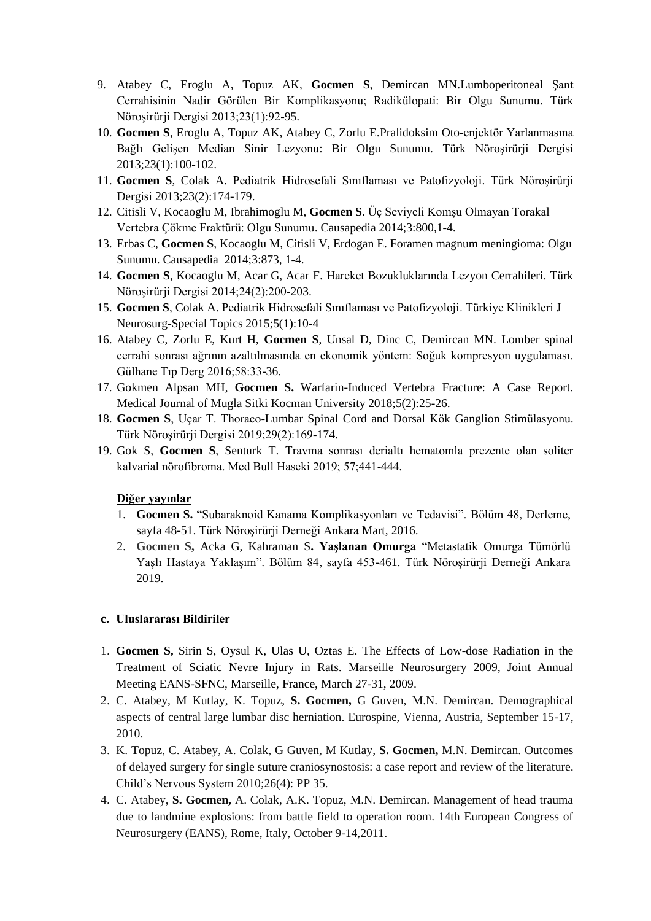- 9. Atabey C, Eroglu A, Topuz AK, **Gocmen S**, Demircan MN.Lumboperitoneal Şant Cerrahisinin Nadir Görülen Bir Komplikasyonu; Radikülopati: Bir Olgu Sunumu. Türk Nöroşirürji Dergisi 2013;23(1):92-95.
- 10. **Gocmen S**, Eroglu A, Topuz AK, Atabey C, Zorlu E.Pralidoksim Oto-enjektör Yarlanmasına Bağlı Gelişen Median Sinir Lezyonu: Bir Olgu Sunumu. Türk Nöroşirürji Dergisi 2013;23(1):100-102.
- 11. **Gocmen S**, Colak A. Pediatrik Hidrosefali Sınıflaması ve Patofizyoloji. Türk Nöroşirürji Dergisi 2013;23(2):174-179.
- 12. Citisli V, Kocaoglu M, Ibrahimoglu M, **Gocmen S**. Üç Seviyeli Komşu Olmayan Torakal Vertebra Çökme Fraktürü: Olgu Sunumu. Causapedia 2014;3:800,1-4.
- 13. Erbas C, **Gocmen S**, Kocaoglu M, Citisli V, Erdogan E. Foramen magnum meningioma: Olgu Sunumu. Causapedia 2014;3:873, 1-4.
- 14. **Gocmen S**, Kocaoglu M, Acar G, Acar F. Hareket Bozukluklarında Lezyon Cerrahileri. Türk Nöroşirürji Dergisi 2014;24(2):200-203.
- 15. **Gocmen S**, Colak A. Pediatrik Hidrosefali Sınıflaması ve Patofizyoloji. Türkiye Klinikleri J Neurosurg-Special Topics 2015;5(1):10-4
- 16. Atabey C, Zorlu E, Kurt H, **Gocmen S**, Unsal D, Dinc C, Demircan MN. Lomber spinal cerrahi sonrası ağrının azaltılmasında en ekonomik yöntem: Soğuk kompresyon uygulaması. Gülhane Tıp Derg 2016;58:33-36.
- 17. Gokmen Alpsan MH, **Gocmen S.** Warfarin-Induced Vertebra Fracture: A Case Report. Medical Journal of Mugla Sitki Kocman University 2018;5(2):25-26.
- 18. **Gocmen S**, Uçar T. Thoraco-Lumbar Spinal Cord and Dorsal Kök Ganglion Stimülasyonu. Türk Nöroşirürji Dergisi 2019;29(2):169-174.
- 19. Gok S, **Gocmen S**, Senturk T. Travma sonrası derialtı hematomla prezente olan soliter kalvarial nörofibroma. Med Bull Haseki 2019; 57;441-444.

#### **Diğer yayınlar**

- 1. **Gocmen S.** "Subaraknoid Kanama Komplikasyonları ve Tedavisi". Bölüm 48, Derleme, sayfa 48-51. Türk Nöroşirürji Derneği Ankara Mart, 2016.
- 2. **Gocmen S,** Acka G, Kahraman S**. Yaşlanan Omurga** "Metastatik Omurga Tümörlü Yaşlı Hastaya Yaklaşım". Bölüm 84, sayfa 453-461. Türk Nöroşirürji Derneği Ankara 2019.

## **c. Uluslararası Bildiriler**

- 1. **Gocmen S,** Sirin S, Oysul K, Ulas U, Oztas E. The Effects of Low-dose Radiation in the Treatment of Sciatic Nevre Injury in Rats. Marseille Neurosurgery 2009, Joint Annual Meeting EANS-SFNC, Marseille, France, March 27-31, 2009.
- 2. C. Atabey, M Kutlay, K. Topuz, **S. Gocmen,** G Guven, M.N. Demircan. Demographical aspects of central large lumbar disc herniation. Eurospine, Vienna, Austria, September 15-17, 2010.
- 3. K. Topuz, C. Atabey, A. Colak, G Guven, M Kutlay, **S. Gocmen,** M.N. Demircan. Outcomes of delayed surgery for single suture craniosynostosis: a case report and review of the literature. Child's Nervous System 2010;26(4): PP 35.
- 4. C. Atabey, **S. Gocmen,** A. Colak, A.K. Topuz, M.N. Demircan. Management of head trauma due to landmine explosions: from battle field to operation room. 14th European Congress of Neurosurgery (EANS), Rome, Italy, October 9-14,2011.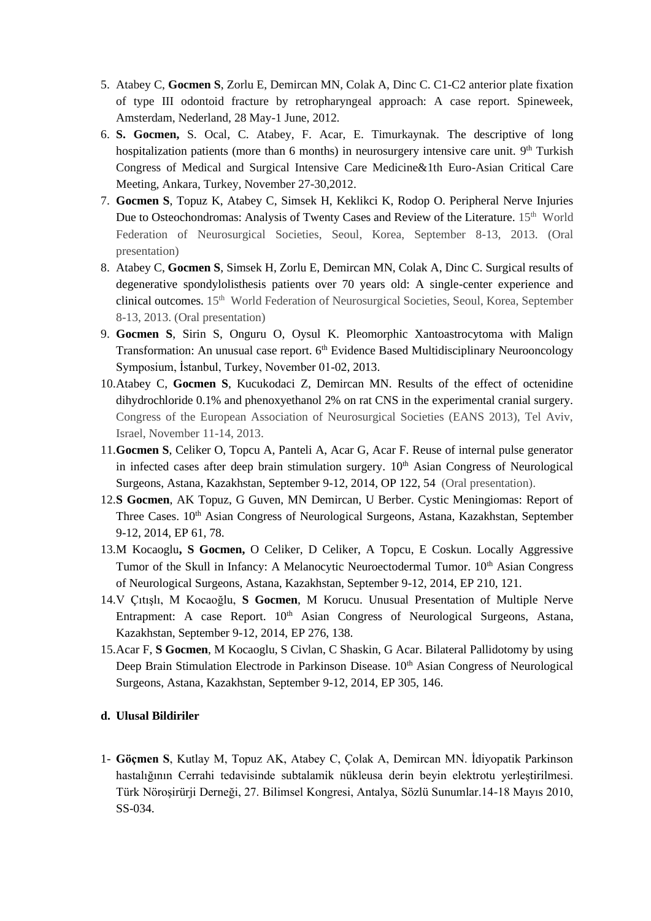- 5. Atabey C, **Gocmen S**, Zorlu E, Demircan MN, Colak A, Dinc C. C1-C2 anterior plate fixation of type III odontoid fracture by retropharyngeal approach: A case report. Spineweek, Amsterdam, Nederland, 28 May-1 June, 2012.
- 6. **S. Gocmen,** S. Ocal, C. Atabey, F. Acar, E. Timurkaynak. The descriptive of long hospitalization patients (more than 6 months) in neurosurgery intensive care unit. 9<sup>th</sup> Turkish Congress of Medical and Surgical Intensive Care Medicine&1th Euro-Asian Critical Care Meeting, Ankara, Turkey, November 27-30,2012.
- 7. **Gocmen S**, Topuz K, Atabey C, Simsek H, Keklikci K, Rodop O. Peripheral Nerve Injuries Due to Osteochondromas: Analysis of Twenty Cases and Review of the Literature. 15<sup>th</sup> World Federation of Neurosurgical Societies, Seoul, Korea, September 8-13, 2013. (Oral presentation)
- 8. Atabey C, **Gocmen S**, Simsek H, Zorlu E, Demircan MN, Colak A, Dinc C. Surgical results of degenerative spondylolisthesis patients over 70 years old: A single-center experience and clinical outcomes. 15<sup>th</sup> World Federation of Neurosurgical Societies, Seoul, Korea, September 8-13, 2013. (Oral presentation)
- 9. **Gocmen S**, Sirin S, Onguru O, Oysul K. Pleomorphic Xantoastrocytoma with Malign Transformation: An unusual case report. 6<sup>th</sup> Evidence Based Multidisciplinary Neurooncology Symposium, İstanbul, Turkey, November 01-02, 2013.
- 10.Atabey C, **Gocmen S**, Kucukodaci Z, Demircan MN. Results of the effect of octenidine dihydrochloride 0.1% and phenoxyethanol 2% on rat CNS in the experimental cranial surgery. Congress of the European Association of Neurosurgical Societies (EANS 2013), Tel Aviv, Israel, November 11-14, 2013.
- 11.**Gocmen S**, Celiker O, Topcu A, Panteli A, Acar G, Acar F. Reuse of internal pulse generator in infected cases after deep brain stimulation surgery. 10<sup>th</sup> Asian Congress of Neurological Surgeons, Astana, Kazakhstan, September 9-12, 2014, OP 122, 54 (Oral presentation).
- 12.**S Gocmen**, AK Topuz, G Guven, MN Demircan, U Berber. Cystic Meningiomas: Report of Three Cases. 10<sup>th</sup> Asian Congress of Neurological Surgeons, Astana, Kazakhstan, September 9-12, 2014, EP 61, 78.
- 13.M Kocaoglu**, S Gocmen,** O Celiker, D Celiker, A Topcu, E Coskun. Locally Aggressive Tumor of the Skull in Infancy: A Melanocytic Neuroectodermal Tumor. 10<sup>th</sup> Asian Congress of Neurological Surgeons, Astana, Kazakhstan, September 9-12, 2014, EP 210, 121.
- 14.V Çıtışlı, M Kocaoğlu, **S Gocmen**, M Korucu. Unusual Presentation of Multiple Nerve Entrapment: A case Report.  $10<sup>th</sup>$  Asian Congress of Neurological Surgeons, Astana, Kazakhstan, September 9-12, 2014, EP 276, 138.
- 15.Acar F, **S Gocmen**, M Kocaoglu, S Civlan, C Shaskin, G Acar. Bilateral Pallidotomy by using Deep Brain Stimulation Electrode in Parkinson Disease.  $10<sup>th</sup>$  Asian Congress of Neurological Surgeons, Astana, Kazakhstan, September 9-12, 2014, EP 305, 146.

#### **d. Ulusal Bildiriler**

1- **Göçmen S**, Kutlay M, Topuz AK, Atabey C, Çolak A, Demircan MN. İdiyopatik Parkinson hastalığının Cerrahi tedavisinde subtalamik nükleusa derin beyin elektrotu yerleştirilmesi. Türk Nöroşirürji Derneği, 27. Bilimsel Kongresi, Antalya, Sözlü Sunumlar.14-18 Mayıs 2010, SS-034.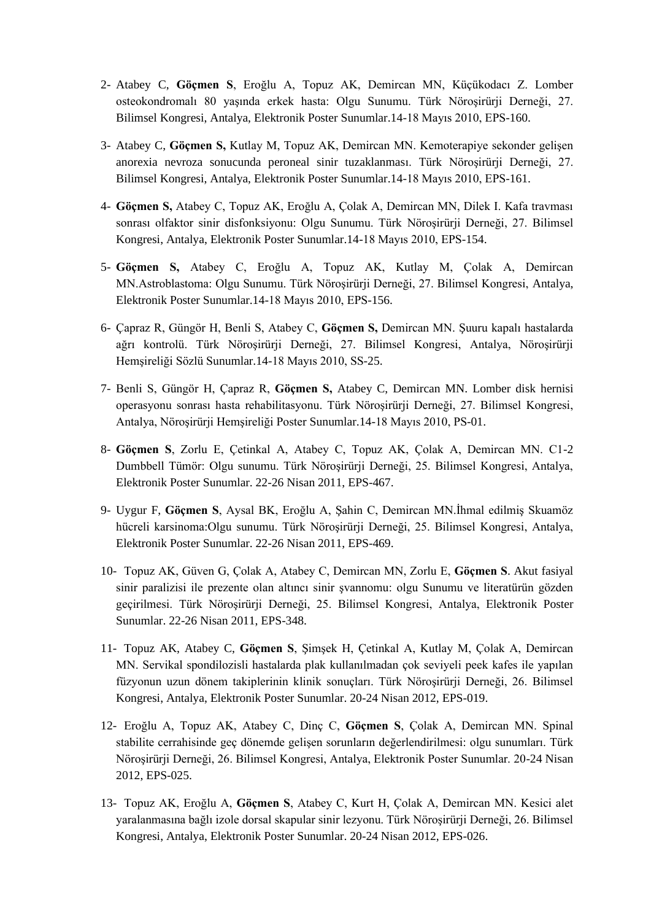- 2- Atabey C, **Göçmen S**, Eroğlu A, Topuz AK, Demircan MN, Küçükodacı Z. Lomber osteokondromalı 80 yaşında erkek hasta: Olgu Sunumu. Türk Nöroşirürji Derneği, 27. Bilimsel Kongresi, Antalya, Elektronik Poster Sunumlar.14-18 Mayıs 2010, EPS-160.
- 3- Atabey C, **Göçmen S,** Kutlay M, Topuz AK, Demircan MN. Kemoterapiye sekonder gelişen anorexia nevroza sonucunda peroneal sinir tuzaklanması. Türk Nöroşirürji Derneği, 27. Bilimsel Kongresi, Antalya, Elektronik Poster Sunumlar.14-18 Mayıs 2010, EPS-161.
- 4- **Göçmen S,** Atabey C, Topuz AK, Eroğlu A, Çolak A, Demircan MN, Dilek I. Kafa travması sonrası olfaktor sinir disfonksiyonu: Olgu Sunumu. Türk Nöroşirürji Derneği, 27. Bilimsel Kongresi, Antalya, Elektronik Poster Sunumlar.14-18 Mayıs 2010, EPS-154.
- 5- **Göçmen S,** Atabey C, Eroğlu A, Topuz AK, Kutlay M, Çolak A, Demircan MN.Astroblastoma: Olgu Sunumu. Türk Nöroşirürji Derneği, 27. Bilimsel Kongresi, Antalya, Elektronik Poster Sunumlar.14-18 Mayıs 2010, EPS-156.
- 6- Çapraz R, Güngör H, Benli S, Atabey C, **Göçmen S,** Demircan MN. Şuuru kapalı hastalarda ağrı kontrolü. Türk Nöroşirürji Derneği, 27. Bilimsel Kongresi, Antalya, Nöroşirürji Hemşireliği Sözlü Sunumlar.14-18 Mayıs 2010, SS-25.
- 7- Benli S, Güngör H, Çapraz R, **Göçmen S,** Atabey C, Demircan MN. Lomber disk hernisi operasyonu sonrası hasta rehabilitasyonu. Türk Nöroşirürji Derneği, 27. Bilimsel Kongresi, Antalya, Nöroşirürji Hemşireliği Poster Sunumlar.14-18 Mayıs 2010, PS-01.
- 8- **Göçmen S**, Zorlu E, Çetinkal A, Atabey C, Topuz AK, Çolak A, Demircan MN. C1-2 Dumbbell Tümör: Olgu sunumu. Türk Nöroşirürji Derneği, 25. Bilimsel Kongresi, Antalya, Elektronik Poster Sunumlar. 22-26 Nisan 2011, EPS-467.
- 9- Uygur F, **Göçmen S**, Aysal BK, Eroğlu A, Şahin C, Demircan MN.İhmal edilmiş Skuamöz hücreli karsinoma:Olgu sunumu. Türk Nöroşirürji Derneği, 25. Bilimsel Kongresi, Antalya, Elektronik Poster Sunumlar. 22-26 Nisan 2011, EPS-469.
- 10- Topuz AK, Güven G, Çolak A, Atabey C, Demircan MN, Zorlu E, **Göçmen S**. Akut fasiyal sinir paralizisi ile prezente olan altıncı sinir şvannomu: olgu Sunumu ve literatürün gözden geçirilmesi. Türk Nöroşirürji Derneği, 25. Bilimsel Kongresi, Antalya, Elektronik Poster Sunumlar. 22-26 Nisan 2011, EPS-348.
- 11- Topuz AK, Atabey C, **Göçmen S**, Şimşek H, Çetinkal A, Kutlay M, Çolak A, Demircan MN. Servikal spondilozisli hastalarda plak kullanılmadan çok seviyeli peek kafes ile yapılan füzyonun uzun dönem takiplerinin klinik sonuçları. Türk Nöroşirürji Derneği, 26. Bilimsel Kongresi, Antalya, Elektronik Poster Sunumlar. 20-24 Nisan 2012, EPS-019.
- 12- Eroğlu A, Topuz AK, Atabey C, Dinç C, **Göçmen S**, Çolak A, Demircan MN. Spinal stabilite cerrahisinde geç dönemde gelişen sorunların değerlendirilmesi: olgu sunumları. Türk Nöroşirürji Derneği, 26. Bilimsel Kongresi, Antalya, Elektronik Poster Sunumlar. 20-24 Nisan 2012, EPS-025.
- 13- Topuz AK, Eroğlu A, **Göçmen S**, Atabey C, Kurt H, Çolak A, Demircan MN. Kesici alet yaralanmasına bağlı izole dorsal skapular sinir lezyonu. Türk Nöroşirürji Derneği, 26. Bilimsel Kongresi, Antalya, Elektronik Poster Sunumlar. 20-24 Nisan 2012, EPS-026.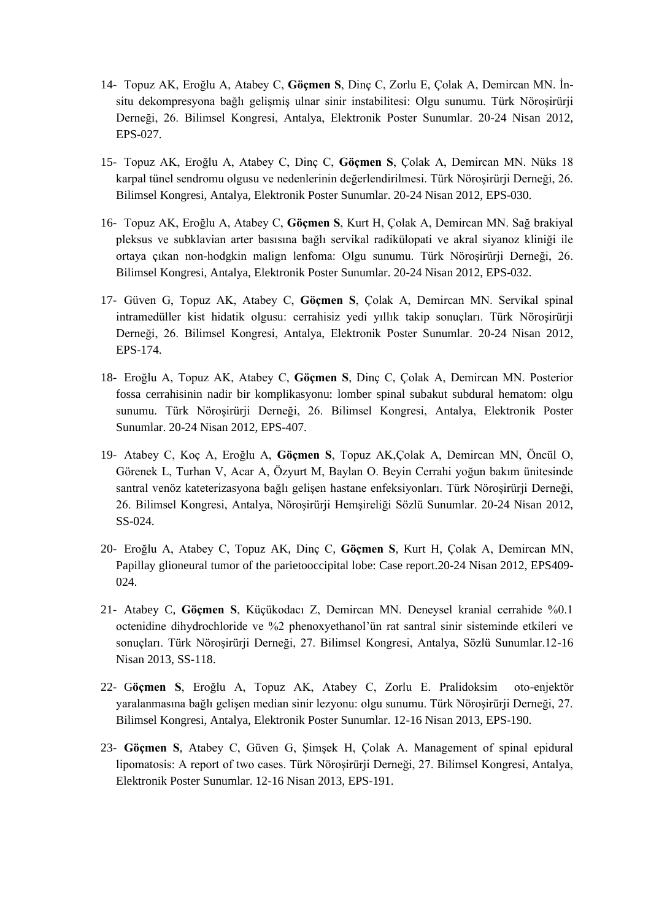- 14- Topuz AK, Eroğlu A, Atabey C, **Göçmen S**, Dinç C, Zorlu E, Çolak A, Demircan MN. İnsitu dekompresyona bağlı gelişmiş ulnar sinir instabilitesi: Olgu sunumu. Türk Nöroşirürji Derneği, 26. Bilimsel Kongresi, Antalya, Elektronik Poster Sunumlar. 20-24 Nisan 2012, EPS-027.
- 15- Topuz AK, Eroğlu A, Atabey C, Dinç C, **Göçmen S**, Çolak A, Demircan MN. Nüks 18 karpal tünel sendromu olgusu ve nedenlerinin değerlendirilmesi. Türk Nöroşirürji Derneği, 26. Bilimsel Kongresi, Antalya, Elektronik Poster Sunumlar. 20-24 Nisan 2012, EPS-030.
- 16- Topuz AK, Eroğlu A, Atabey C, **Göçmen S**, Kurt H, Çolak A, Demircan MN. Sağ brakiyal pleksus ve subklavian arter basısına bağlı servikal radikülopati ve akral siyanoz kliniği ile ortaya çıkan non-hodgkin malign lenfoma: Olgu sunumu. Türk Nöroşirürji Derneği, 26. Bilimsel Kongresi, Antalya, Elektronik Poster Sunumlar. 20-24 Nisan 2012, EPS-032.
- 17- Güven G, Topuz AK, Atabey C, **Göçmen S**, Çolak A, Demircan MN. Servikal spinal intramedüller kist hidatik olgusu: cerrahisiz yedi yıllık takip sonuçları. Türk Nöroşirürji Derneği, 26. Bilimsel Kongresi, Antalya, Elektronik Poster Sunumlar. 20-24 Nisan 2012, EPS-174.
- 18- Eroğlu A, Topuz AK, Atabey C, **Göçmen S**, Dinç C, Çolak A, Demircan MN. Posterior fossa cerrahisinin nadir bir komplikasyonu: lomber spinal subakut subdural hematom: olgu sunumu. Türk Nöroşirürji Derneği, 26. Bilimsel Kongresi, Antalya, Elektronik Poster Sunumlar. 20-24 Nisan 2012, EPS-407.
- 19- Atabey C, Koç A, Eroğlu A, **Göçmen S**, Topuz AK,Çolak A, Demircan MN, Öncül O, Görenek L, Turhan V, Acar A, Özyurt M, Baylan O. Beyin Cerrahi yoğun bakım ünitesinde santral venöz kateterizasyona bağlı gelişen hastane enfeksiyonları. Türk Nöroşirürji Derneği, 26. Bilimsel Kongresi, Antalya, Nöroşirürji Hemşireliği Sözlü Sunumlar. 20-24 Nisan 2012, SS-024.
- 20- Eroğlu A, Atabey C, Topuz AK, Dinç C, **Göçmen S**, Kurt H, Çolak A, Demircan MN, Papillay glioneural tumor of the parietooccipital lobe: Case report.20-24 Nisan 2012, EPS409- 024.
- 21- Atabey C, **Göçmen S**, Küçükodacı Z, Demircan MN. Deneysel kranial cerrahide %0.1 octenidine dihydrochloride ve %2 phenoxyethanol'ün rat santral sinir sisteminde etkileri ve sonuçları. Türk Nöroşirürji Derneği, 27. Bilimsel Kongresi, Antalya, Sözlü Sunumlar.12-16 Nisan 2013, SS-118.
- 22- G**öçmen S**, Eroğlu A, Topuz AK, Atabey C, Zorlu E. Pralidoksim oto-enjektör yaralanmasına bağlı gelişen median sinir lezyonu: olgu sunumu. Türk Nöroşirürji Derneği, 27. Bilimsel Kongresi, Antalya, Elektronik Poster Sunumlar. 12-16 Nisan 2013, EPS-190.
- 23- **Göçmen S**, Atabey C, Güven G, Şimşek H, Çolak A. Management of spinal epidural lipomatosis: A report of two cases. Türk Nöroşirürji Derneği, 27. Bilimsel Kongresi, Antalya, Elektronik Poster Sunumlar. 12-16 Nisan 2013, EPS-191.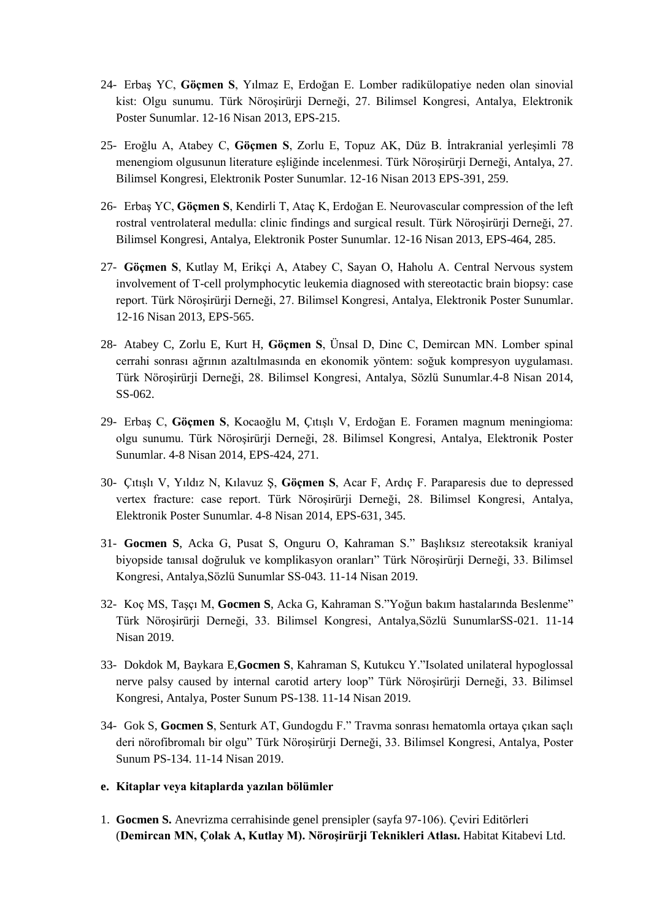- 24- Erbaş YC, **Göçmen S**, Yılmaz E, Erdoğan E. Lomber radikülopatiye neden olan sinovial kist: Olgu sunumu. Türk Nöroşirürji Derneği, 27. Bilimsel Kongresi, Antalya, Elektronik Poster Sunumlar. 12-16 Nisan 2013, EPS-215.
- 25- Eroğlu A, Atabey C, **Göçmen S**, Zorlu E, Topuz AK, Düz B. İntrakranial yerleşimli 78 menengiom olgusunun literature eşliğinde incelenmesi. Türk Nöroşirürji Derneği, Antalya, 27. Bilimsel Kongresi, Elektronik Poster Sunumlar. 12-16 Nisan 2013 EPS-391, 259.
- 26- Erbaş YC, **Göçmen S**, Kendirli T, Ataç K, Erdoğan E. Neurovascular compression of the left rostral ventrolateral medulla: clinic findings and surgical result. Türk Nöroşirürji Derneği, 27. Bilimsel Kongresi, Antalya, Elektronik Poster Sunumlar. 12-16 Nisan 2013, EPS-464, 285.
- 27- **Göçmen S**, Kutlay M, Erikçi A, Atabey C, Sayan O, Haholu A. Central Nervous system involvement of T-cell prolymphocytic leukemia diagnosed with stereotactic brain biopsy: case report. Türk Nöroşirürji Derneği, 27. Bilimsel Kongresi, Antalya, Elektronik Poster Sunumlar. 12-16 Nisan 2013, EPS-565.
- 28- Atabey C, Zorlu E, Kurt H, **Göçmen S**, Ünsal D, Dinc C, Demircan MN. Lomber spinal cerrahi sonrası ağrının azaltılmasında en ekonomik yöntem: soğuk kompresyon uygulaması. Türk Nöroşirürji Derneği, 28. Bilimsel Kongresi, Antalya, Sözlü Sunumlar.4-8 Nisan 2014, SS-062.
- 29- Erbaş C, **Göçmen S**, Kocaoğlu M, Çıtışlı V, Erdoğan E. Foramen magnum meningioma: olgu sunumu. Türk Nöroşirürji Derneği, 28. Bilimsel Kongresi, Antalya, Elektronik Poster Sunumlar. 4-8 Nisan 2014, EPS-424, 271.
- 30- Çıtışlı V, Yıldız N, Kılavuz Ş, **Göçmen S**, Acar F, Ardıç F. Paraparesis due to depressed vertex fracture: case report. Türk Nöroşirürji Derneği, 28. Bilimsel Kongresi, Antalya, Elektronik Poster Sunumlar. 4-8 Nisan 2014, EPS-631, 345.
- 31- **Gocmen S**, Acka G, Pusat S, Onguru O, Kahraman S." Başlıksız stereotaksik kraniyal biyopside tanısal doğruluk ve komplikasyon oranları" Türk Nöroşirürji Derneği, 33. Bilimsel Kongresi, Antalya,Sözlü Sunumlar SS-043. 11-14 Nisan 2019.
- 32- Koç MS, Taşçı M, **Gocmen S**, Acka G, Kahraman S."Yoğun bakım hastalarında Beslenme" Türk Nöroşirürji Derneği, 33. Bilimsel Kongresi, Antalya,Sözlü SunumlarSS-021. 11-14 Nisan 2019.
- 33- Dokdok M, Baykara E,**Gocmen S**, Kahraman S, Kutukcu Y."Isolated unilateral hypoglossal nerve palsy caused by internal carotid artery loop" Türk Nöroşirürji Derneği, 33. Bilimsel Kongresi, Antalya, Poster Sunum PS-138. 11-14 Nisan 2019.
- 34- Gok S, **Gocmen S**, Senturk AT, Gundogdu F." Travma sonrası hematomla ortaya çıkan saçlı deri nörofibromalı bir olgu" Türk Nöroşirürji Derneği, 33. Bilimsel Kongresi, Antalya, Poster Sunum PS-134. 11-14 Nisan 2019.
- **e. Kitaplar veya kitaplarda yazılan bölümler**
- 1. **Gocmen S.** Anevrizma cerrahisinde genel prensipler (sayfa 97-106). Çeviri Editörleri (**Demircan MN, Çolak A, Kutlay M). Nöroşirürji Teknikleri Atlası.** Habitat Kitabevi Ltd.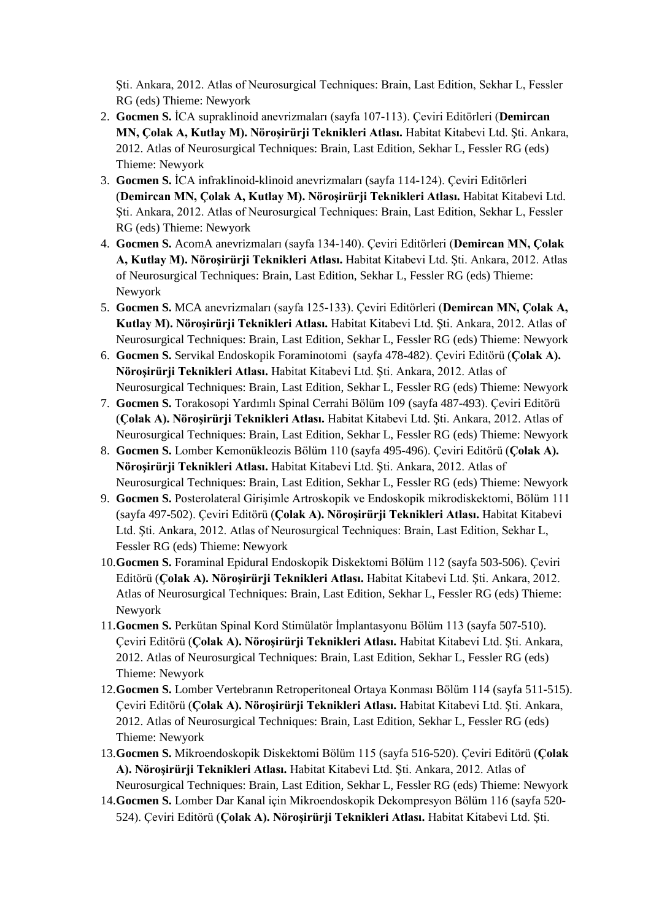Şti. Ankara, 2012. Atlas of Neurosurgical Techniques: Brain, Last Edition, Sekhar L, Fessler RG (eds) Thieme: Newyork

- 2. **Gocmen S.** İCA supraklinoid anevrizmaları (sayfa 107-113). Çeviri Editörleri (**Demircan MN, Çolak A, Kutlay M). Nöroşirürji Teknikleri Atlası.** Habitat Kitabevi Ltd. Şti. Ankara, 2012. Atlas of Neurosurgical Techniques: Brain, Last Edition, Sekhar L, Fessler RG (eds) Thieme: Newyork
- 3. **Gocmen S.** İCA infraklinoid-klinoid anevrizmaları (sayfa 114-124). Çeviri Editörleri (**Demircan MN, Çolak A, Kutlay M). Nöroşirürji Teknikleri Atlası.** Habitat Kitabevi Ltd. Şti. Ankara, 2012. Atlas of Neurosurgical Techniques: Brain, Last Edition, Sekhar L, Fessler RG (eds) Thieme: Newyork
- 4. **Gocmen S.** AcomA anevrizmaları (sayfa 134-140). Çeviri Editörleri (**Demircan MN, Çolak A, Kutlay M). Nöroşirürji Teknikleri Atlası.** Habitat Kitabevi Ltd. Şti. Ankara, 2012. Atlas of Neurosurgical Techniques: Brain, Last Edition, Sekhar L, Fessler RG (eds) Thieme: Newyork
- 5. **Gocmen S.** MCA anevrizmaları (sayfa 125-133). Çeviri Editörleri (**Demircan MN, Çolak A, Kutlay M). Nöroşirürji Teknikleri Atlası.** Habitat Kitabevi Ltd. Şti. Ankara, 2012. Atlas of Neurosurgical Techniques: Brain, Last Edition, Sekhar L, Fessler RG (eds) Thieme: Newyork
- 6. **Gocmen S.** Servikal Endoskopik Foraminotomi (sayfa 478-482). Çeviri Editörü (**Çolak A). Nöroşirürji Teknikleri Atlası.** Habitat Kitabevi Ltd. Şti. Ankara, 2012. Atlas of Neurosurgical Techniques: Brain, Last Edition, Sekhar L, Fessler RG (eds) Thieme: Newyork
- 7. **Gocmen S.** Torakosopi Yardımlı Spinal Cerrahi Bölüm 109 (sayfa 487-493). Çeviri Editörü (**Çolak A). Nöroşirürji Teknikleri Atlası.** Habitat Kitabevi Ltd. Şti. Ankara, 2012. Atlas of Neurosurgical Techniques: Brain, Last Edition, Sekhar L, Fessler RG (eds) Thieme: Newyork
- 8. **Gocmen S.** Lomber Kemonükleozis Bölüm 110 (sayfa 495-496). Çeviri Editörü (**Çolak A). Nöroşirürji Teknikleri Atlası.** Habitat Kitabevi Ltd. Şti. Ankara, 2012. Atlas of Neurosurgical Techniques: Brain, Last Edition, Sekhar L, Fessler RG (eds) Thieme: Newyork
- 9. **Gocmen S.** Posterolateral Girişimle Artroskopik ve Endoskopik mikrodiskektomi, Bölüm 111 (sayfa 497-502). Çeviri Editörü (**Çolak A). Nöroşirürji Teknikleri Atlası.** Habitat Kitabevi Ltd. Şti. Ankara, 2012. Atlas of Neurosurgical Techniques: Brain, Last Edition, Sekhar L, Fessler RG (eds) Thieme: Newyork
- 10.**Gocmen S.** Foraminal Epidural Endoskopik Diskektomi Bölüm 112 (sayfa 503-506). Çeviri Editörü (**Çolak A). Nöroşirürji Teknikleri Atlası.** Habitat Kitabevi Ltd. Şti. Ankara, 2012. Atlas of Neurosurgical Techniques: Brain, Last Edition, Sekhar L, Fessler RG (eds) Thieme: Newyork
- 11.**Gocmen S.** Perkütan Spinal Kord Stimülatör İmplantasyonu Bölüm 113 (sayfa 507-510). Çeviri Editörü (**Çolak A). Nöroşirürji Teknikleri Atlası.** Habitat Kitabevi Ltd. Şti. Ankara, 2012. Atlas of Neurosurgical Techniques: Brain, Last Edition, Sekhar L, Fessler RG (eds) Thieme: Newyork
- 12.**Gocmen S.** Lomber Vertebranın Retroperitoneal Ortaya Konması Bölüm 114 (sayfa 511-515). Çeviri Editörü (**Çolak A). Nöroşirürji Teknikleri Atlası.** Habitat Kitabevi Ltd. Şti. Ankara, 2012. Atlas of Neurosurgical Techniques: Brain, Last Edition, Sekhar L, Fessler RG (eds) Thieme: Newyork
- 13.**Gocmen S.** Mikroendoskopik Diskektomi Bölüm 115 (sayfa 516-520). Çeviri Editörü (**Çolak A). Nöroşirürji Teknikleri Atlası.** Habitat Kitabevi Ltd. Şti. Ankara, 2012. Atlas of Neurosurgical Techniques: Brain, Last Edition, Sekhar L, Fessler RG (eds) Thieme: Newyork
- 14.**Gocmen S.** Lomber Dar Kanal için Mikroendoskopik Dekompresyon Bölüm 116 (sayfa 520- 524). Çeviri Editörü (**Çolak A). Nöroşirürji Teknikleri Atlası.** Habitat Kitabevi Ltd. Şti.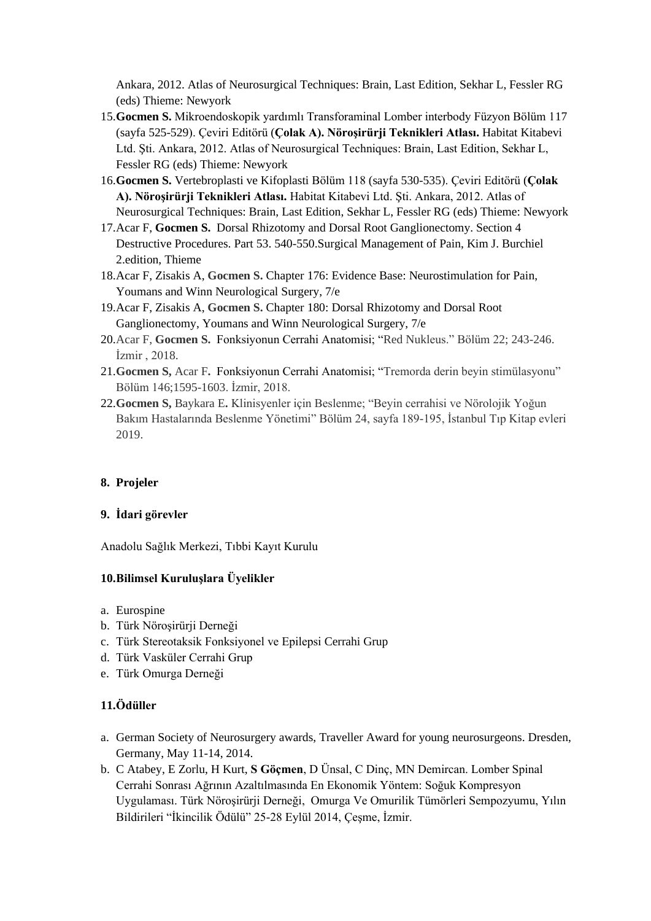Ankara, 2012. Atlas of Neurosurgical Techniques: Brain, Last Edition, Sekhar L, Fessler RG (eds) Thieme: Newyork

- 15.**Gocmen S.** Mikroendoskopik yardımlı Transforaminal Lomber interbody Füzyon Bölüm 117 (sayfa 525-529). Çeviri Editörü (**Çolak A). Nöroşirürji Teknikleri Atlası.** Habitat Kitabevi Ltd. Şti. Ankara, 2012. Atlas of Neurosurgical Techniques: Brain, Last Edition, Sekhar L, Fessler RG (eds) Thieme: Newyork
- 16.**Gocmen S.** Vertebroplasti ve Kifoplasti Bölüm 118 (sayfa 530-535). Çeviri Editörü (**Çolak A). Nöroşirürji Teknikleri Atlası.** Habitat Kitabevi Ltd. Şti. Ankara, 2012. Atlas of Neurosurgical Techniques: Brain, Last Edition, Sekhar L, Fessler RG (eds) Thieme: Newyork
- 17.Acar F, **Gocmen S.** Dorsal Rhizotomy and Dorsal Root Ganglionectomy. Section 4 Destructive Procedures. Part 53. 540-550.Surgical Management of Pain, Kim J. Burchiel 2.edition, Thieme
- 18.Acar F, Zisakis A, **Gocmen S.** Chapter 176: Evidence Base: Neurostimulation for Pain, Youmans and Winn Neurological Surgery, 7/e
- 19.Acar F, Zisakis A, **Gocmen S.** Chapter 180: Dorsal Rhizotomy and Dorsal Root Ganglionectomy, Youmans and Winn Neurological Surgery, 7/e
- 20.Acar F, **Gocmen S.** Fonksiyonun Cerrahi Anatomisi; "Red Nukleus." Bölüm 22; 243-246. İzmir , 2018.
- 21.**Gocmen S,** Acar F**.** Fonksiyonun Cerrahi Anatomisi; "Tremorda derin beyin stimülasyonu" Bölüm 146;1595-1603. İzmir, 2018.
- 22.**Gocmen S,** Baykara E**.** Klinisyenler için Beslenme; "Beyin cerrahisi ve Nörolojik Yoğun Bakım Hastalarında Beslenme Yönetimi" Bölüm 24, sayfa 189-195, İstanbul Tıp Kitap evleri 2019.

### **8. Projeler**

### **9. İdari görevler**

Anadolu Sağlık Merkezi, Tıbbi Kayıt Kurulu

### **10.Bilimsel Kuruluşlara Üyelikler**

- a. Eurospine
- b. Türk Nöroşirürji Derneği
- c. Türk Stereotaksik Fonksiyonel ve Epilepsi Cerrahi Grup
- d. Türk Vasküler Cerrahi Grup
- e. Türk Omurga Derneği

# **11.Ödüller**

- a. German Society of Neurosurgery awards, Traveller Award for young neurosurgeons. Dresden, Germany, May 11-14, 2014.
- b. C Atabey, E Zorlu, H Kurt, **S Göçmen**, D Ünsal, C Dinç, MN Demircan. Lomber Spinal Cerrahi Sonrası Ağrının Azaltılmasında En Ekonomik Yöntem: Soğuk Kompresyon Uygulaması. Türk Nöroşirürji Derneği, Omurga Ve Omurilik Tümörleri Sempozyumu, Yılın Bildirileri "İkincilik Ödülü" 25-28 Eylül 2014, Çeşme, İzmir.